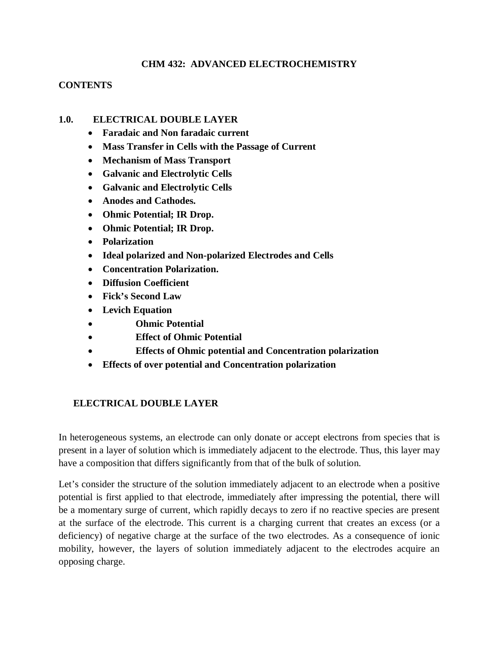#### **CHM 432: ADVANCED ELECTROCHEMISTRY**

#### **CONTENTS**

#### **1.0. ELECTRICAL DOUBLE LAYER**

- **Faradaic and Non faradaic current**
- **Mass Transfer in Cells with the Passage of Current**
- **Mechanism of Mass Transport**
- **Galvanic and Electrolytic Cells**
- **Galvanic and Electrolytic Cells**
- **Anodes and Cathodes.**
- **Ohmic Potential; IR Drop.**
- **Ohmic Potential; IR Drop.**
- **Polarization**
- **Ideal polarized and Non-polarized Electrodes and Cells**
- **Concentration Polarization.**
- **Diffusion Coefficient**
- **Fick's Second Law**
- **Levich Equation**
- **Ohmic Potential**
- **Effect of Ohmic Potential**
- **Effects of Ohmic potential and Concentration polarization**
- **Effects of over potential and Concentration polarization**

#### **ELECTRICAL DOUBLE LAYER**

In heterogeneous systems, an electrode can only donate or accept electrons from species that is present in a layer of solution which is immediately adjacent to the electrode. Thus, this layer may have a composition that differs significantly from that of the bulk of solution.

Let's consider the structure of the solution immediately adjacent to an electrode when a positive potential is first applied to that electrode, immediately after impressing the potential, there will be a momentary surge of current, which rapidly decays to zero if no reactive species are present at the surface of the electrode. This current is a charging current that creates an excess (or a deficiency) of negative charge at the surface of the two electrodes. As a consequence of ionic mobility, however, the layers of solution immediately adjacent to the electrodes acquire an opposing charge.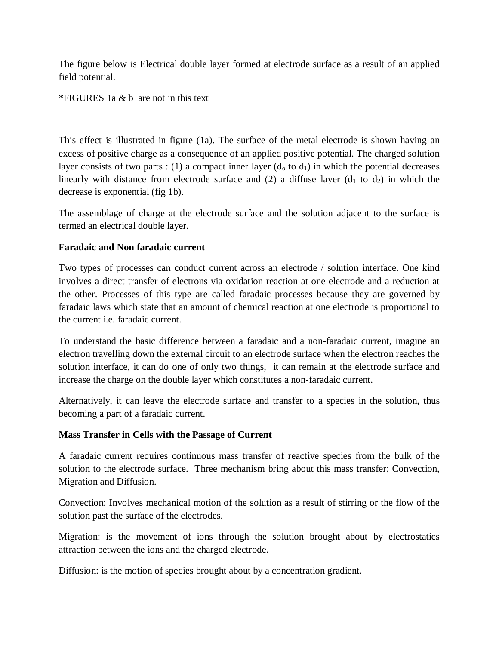The figure below is Electrical double layer formed at electrode surface as a result of an applied field potential.

\*FIGURES 1a & b are not in this text

This effect is illustrated in figure (1a). The surface of the metal electrode is shown having an excess of positive charge as a consequence of an applied positive potential. The charged solution layer consists of two parts : (1) a compact inner layer  $(d_0 \text{ to } d_1)$  in which the potential decreases linearly with distance from electrode surface and (2) a diffuse layer ( $d_1$  to  $d_2$ ) in which the decrease is exponential (fig 1b).

The assemblage of charge at the electrode surface and the solution adjacent to the surface is termed an electrical double layer.

#### **Faradaic and Non faradaic current**

Two types of processes can conduct current across an electrode / solution interface. One kind involves a direct transfer of electrons via oxidation reaction at one electrode and a reduction at the other. Processes of this type are called faradaic processes because they are governed by faradaic laws which state that an amount of chemical reaction at one electrode is proportional to the current i.e. faradaic current.

To understand the basic difference between a faradaic and a non-faradaic current, imagine an electron travelling down the external circuit to an electrode surface when the electron reaches the solution interface, it can do one of only two things, it can remain at the electrode surface and increase the charge on the double layer which constitutes a non-faradaic current.

Alternatively, it can leave the electrode surface and transfer to a species in the solution, thus becoming a part of a faradaic current.

### **Mass Transfer in Cells with the Passage of Current**

A faradaic current requires continuous mass transfer of reactive species from the bulk of the solution to the electrode surface. Three mechanism bring about this mass transfer; Convection, Migration and Diffusion.

Convection: Involves mechanical motion of the solution as a result of stirring or the flow of the solution past the surface of the electrodes.

Migration: is the movement of ions through the solution brought about by electrostatics attraction between the ions and the charged electrode.

Diffusion: is the motion of species brought about by a concentration gradient.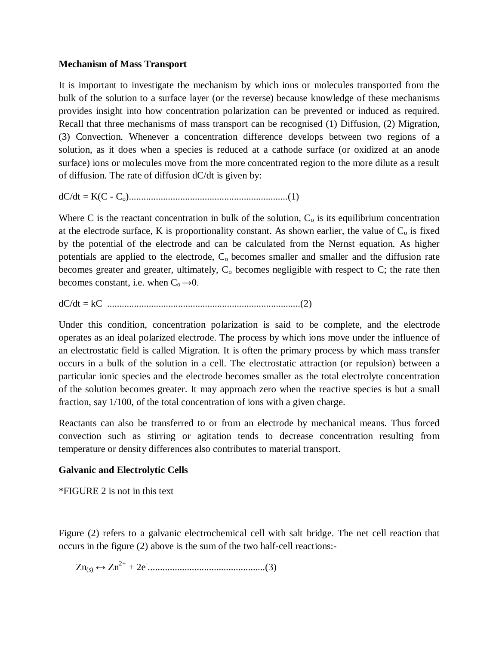#### **Mechanism of Mass Transport**

It is important to investigate the mechanism by which ions or molecules transported from the bulk of the solution to a surface layer (or the reverse) because knowledge of these mechanisms provides insight into how concentration polarization can be prevented or induced as required. Recall that three mechanisms of mass transport can be recognised (1) Diffusion, (2) Migration, (3) Convection. Whenever a concentration difference develops between two regions of a solution, as it does when a species is reduced at a cathode surface (or oxidized at an anode surface) ions or molecules move from the more concentrated region to the more dilute as a result of diffusion. The rate of diffusion dC/dt is given by:

dC/dt = K(C - Co).................................................................(1)

Where C is the reactant concentration in bulk of the solution,  $C_0$  is its equilibrium concentration at the electrode surface, K is proportionality constant. As shown earlier, the value of  $C_0$  is fixed by the potential of the electrode and can be calculated from the Nernst equation. As higher potentials are applied to the electrode,  $C_0$  becomes smaller and smaller and the diffusion rate becomes greater and greater, ultimately,  $C_0$  becomes negligible with respect to  $C$ ; the rate then becomes constant, i.e. when  $C_0 \rightarrow 0$ .

dC/dt = kC ...............................................................................(2)

Under this condition, concentration polarization is said to be complete, and the electrode operates as an ideal polarized electrode. The process by which ions move under the influence of an electrostatic field is called Migration. It is often the primary process by which mass transfer occurs in a bulk of the solution in a cell. The electrostatic attraction (or repulsion) between a particular ionic species and the electrode becomes smaller as the total electrolyte concentration of the solution becomes greater. It may approach zero when the reactive species is but a small fraction, say 1/100, of the total concentration of ions with a given charge.

Reactants can also be transferred to or from an electrode by mechanical means. Thus forced convection such as stirring or agitation tends to decrease concentration resulting from temperature or density differences also contributes to material transport.

#### **Galvanic and Electrolytic Cells**

\*FIGURE 2 is not in this text

Figure (2) refers to a galvanic electrochemical cell with salt bridge. The net cell reaction that occurs in the figure (2) above is the sum of the two half-cell reactions:-

Zn(s) ↔ Zn2+ + 2e- ................................................(3)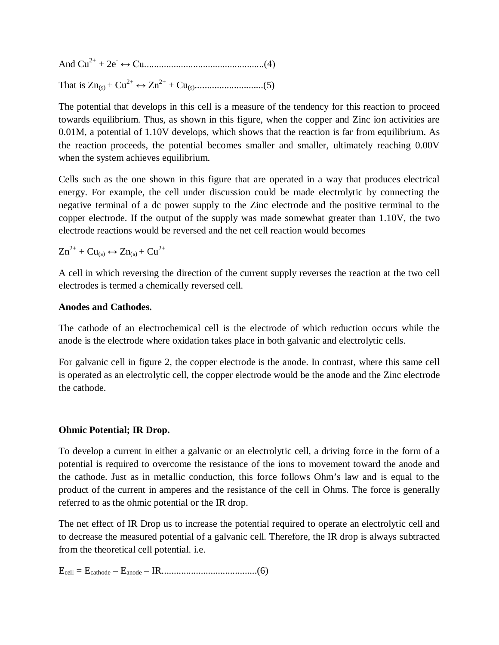And Cu2+ + 2e- ↔ Cu.................................................(4) That is Zn(s) + Cu2+ ↔ Zn2+ + Cu(s)............................(5)

The potential that develops in this cell is a measure of the tendency for this reaction to proceed towards equilibrium. Thus, as shown in this figure, when the copper and Zinc ion activities are 0.01M, a potential of 1.10V develops, which shows that the reaction is far from equilibrium. As the reaction proceeds, the potential becomes smaller and smaller, ultimately reaching 0.00V when the system achieves equilibrium.

Cells such as the one shown in this figure that are operated in a way that produces electrical energy. For example, the cell under discussion could be made electrolytic by connecting the negative terminal of a dc power supply to the Zinc electrode and the positive terminal to the copper electrode. If the output of the supply was made somewhat greater than 1.10V, the two electrode reactions would be reversed and the net cell reaction would becomes

$$
Zn^{2+}+Cu_{(s)}\leftrightarrow Zn_{(s)}+Cu^{2+}
$$

A cell in which reversing the direction of the current supply reverses the reaction at the two cell electrodes is termed a chemically reversed cell.

### **Anodes and Cathodes.**

The cathode of an electrochemical cell is the electrode of which reduction occurs while the anode is the electrode where oxidation takes place in both galvanic and electrolytic cells.

For galvanic cell in figure 2, the copper electrode is the anode. In contrast, where this same cell is operated as an electrolytic cell, the copper electrode would be the anode and the Zinc electrode the cathode.

### **Ohmic Potential; IR Drop.**

To develop a current in either a galvanic or an electrolytic cell, a driving force in the form of a potential is required to overcome the resistance of the ions to movement toward the anode and the cathode. Just as in metallic conduction, this force follows Ohm's law and is equal to the product of the current in amperes and the resistance of the cell in Ohms. The force is generally referred to as the ohmic potential or the IR drop.

The net effect of IR Drop us to increase the potential required to operate an electrolytic cell and to decrease the measured potential of a galvanic cell. Therefore, the IR drop is always subtracted from the theoretical cell potential. i.e.

Ecell = Ecathode – Eanode – IR.......................................(6)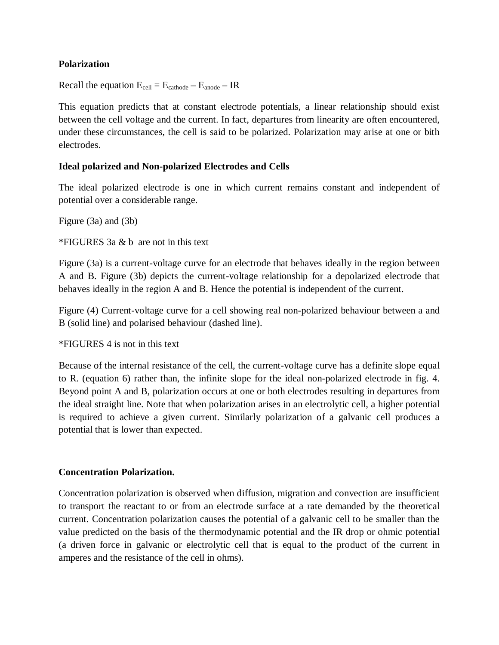### **Polarization**

Recall the equation  $E_{cell} = E_{cathode} - E_{anode} - IR$ 

This equation predicts that at constant electrode potentials, a linear relationship should exist between the cell voltage and the current. In fact, departures from linearity are often encountered, under these circumstances, the cell is said to be polarized. Polarization may arise at one or bith electrodes.

#### **Ideal polarized and Non-polarized Electrodes and Cells**

The ideal polarized electrode is one in which current remains constant and independent of potential over a considerable range.

Figure (3a) and (3b)

\*FIGURES 3a & b are not in this text

Figure (3a) is a current-voltage curve for an electrode that behaves ideally in the region between A and B. Figure (3b) depicts the current-voltage relationship for a depolarized electrode that behaves ideally in the region A and B. Hence the potential is independent of the current.

Figure (4) Current-voltage curve for a cell showing real non-polarized behaviour between a and B (solid line) and polarised behaviour (dashed line).

\*FIGURES 4 is not in this text

Because of the internal resistance of the cell, the current-voltage curve has a definite slope equal to R. (equation 6) rather than, the infinite slope for the ideal non-polarized electrode in fig. 4. Beyond point A and B, polarization occurs at one or both electrodes resulting in departures from the ideal straight line. Note that when polarization arises in an electrolytic cell, a higher potential is required to achieve a given current. Similarly polarization of a galvanic cell produces a potential that is lower than expected.

#### **Concentration Polarization.**

Concentration polarization is observed when diffusion, migration and convection are insufficient to transport the reactant to or from an electrode surface at a rate demanded by the theoretical current. Concentration polarization causes the potential of a galvanic cell to be smaller than the value predicted on the basis of the thermodynamic potential and the IR drop or ohmic potential (a driven force in galvanic or electrolytic cell that is equal to the product of the current in amperes and the resistance of the cell in ohms).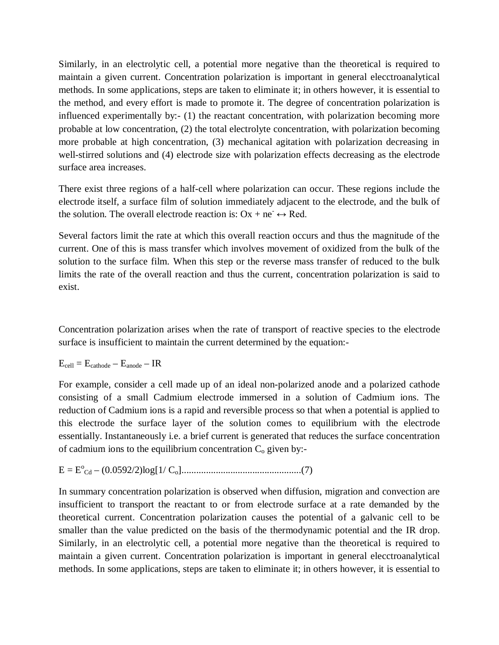Similarly, in an electrolytic cell, a potential more negative than the theoretical is required to maintain a given current. Concentration polarization is important in general elecctroanalytical methods. In some applications, steps are taken to eliminate it; in others however, it is essential to the method, and every effort is made to promote it. The degree of concentration polarization is influenced experimentally by:- (1) the reactant concentration, with polarization becoming more probable at low concentration, (2) the total electrolyte concentration, with polarization becoming more probable at high concentration, (3) mechanical agitation with polarization decreasing in well-stirred solutions and (4) electrode size with polarization effects decreasing as the electrode surface area increases.

There exist three regions of a half-cell where polarization can occur. These regions include the electrode itself, a surface film of solution immediately adjacent to the electrode, and the bulk of the solution. The overall electrode reaction is:  $Ox + ne^- \leftrightarrow Red$ .

Several factors limit the rate at which this overall reaction occurs and thus the magnitude of the current. One of this is mass transfer which involves movement of oxidized from the bulk of the solution to the surface film. When this step or the reverse mass transfer of reduced to the bulk limits the rate of the overall reaction and thus the current, concentration polarization is said to exist.

Concentration polarization arises when the rate of transport of reactive species to the electrode surface is insufficient to maintain the current determined by the equation:-

$$
E_{cell} = E_{cathode} - E_{anode} - IR
$$

For example, consider a cell made up of an ideal non-polarized anode and a polarized cathode consisting of a small Cadmium electrode immersed in a solution of Cadmium ions. The reduction of Cadmium ions is a rapid and reversible process so that when a potential is applied to this electrode the surface layer of the solution comes to equilibrium with the electrode essentially. Instantaneously i.e. a brief current is generated that reduces the surface concentration of cadmium ions to the equilibrium concentration  $C_0$  given by:-

E = E<sup>o</sup> Cd – (0.0592/2)log[1/ Co].................................................(7)

In summary concentration polarization is observed when diffusion, migration and convection are insufficient to transport the reactant to or from electrode surface at a rate demanded by the theoretical current. Concentration polarization causes the potential of a galvanic cell to be smaller than the value predicted on the basis of the thermodynamic potential and the IR drop. Similarly, in an electrolytic cell, a potential more negative than the theoretical is required to maintain a given current. Concentration polarization is important in general elecctroanalytical methods. In some applications, steps are taken to eliminate it; in others however, it is essential to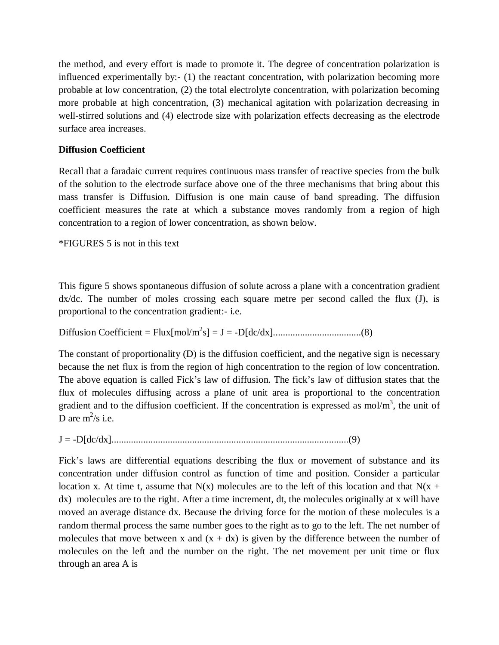the method, and every effort is made to promote it. The degree of concentration polarization is influenced experimentally by:- (1) the reactant concentration, with polarization becoming more probable at low concentration, (2) the total electrolyte concentration, with polarization becoming more probable at high concentration, (3) mechanical agitation with polarization decreasing in well-stirred solutions and (4) electrode size with polarization effects decreasing as the electrode surface area increases.

## **Diffusion Coefficient**

Recall that a faradaic current requires continuous mass transfer of reactive species from the bulk of the solution to the electrode surface above one of the three mechanisms that bring about this mass transfer is Diffusion. Diffusion is one main cause of band spreading. The diffusion coefficient measures the rate at which a substance moves randomly from a region of high concentration to a region of lower concentration, as shown below.

\*FIGURES 5 is not in this text

This figure 5 shows spontaneous diffusion of solute across a plane with a concentration gradient  $dx/dc$ . The number of moles crossing each square metre per second called the flux (J), is proportional to the concentration gradient:- i.e.

Diffusion Coefficient = Flux[mol/m<sup>2</sup> s] = J = -D[dc/dx]....................................(8)

The constant of proportionality (D) is the diffusion coefficient, and the negative sign is necessary because the net flux is from the region of high concentration to the region of low concentration. The above equation is called Fick's law of diffusion. The fick's law of diffusion states that the flux of molecules diffusing across a plane of unit area is proportional to the concentration gradient and to the diffusion coefficient. If the concentration is expressed as mol/ $m<sup>3</sup>$ , the unit of D are  $m^2/s$  i.e.

J = -D[dc/dx].................................................................................................(9)

Fick's laws are differential equations describing the flux or movement of substance and its concentration under diffusion control as function of time and position. Consider a particular location x. At time t, assume that  $N(x)$  molecules are to the left of this location and that  $N(x +$ dx) molecules are to the right. After a time increment, dt, the molecules originally at x will have moved an average distance dx. Because the driving force for the motion of these molecules is a random thermal process the same number goes to the right as to go to the left. The net number of molecules that move between x and  $(x + dx)$  is given by the difference between the number of molecules on the left and the number on the right. The net movement per unit time or flux through an area A is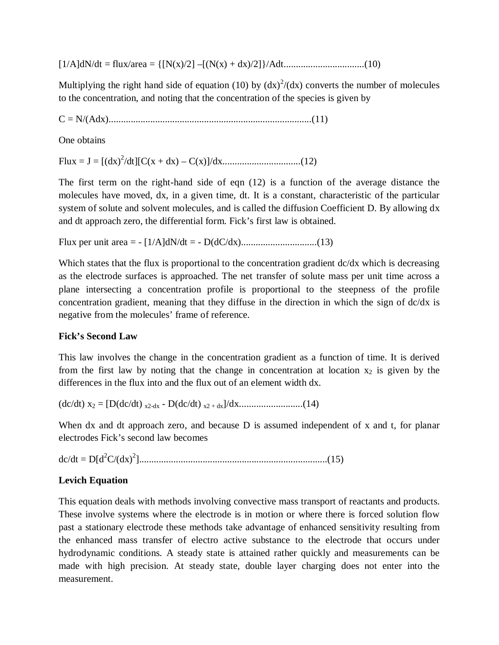[1/A]dN/dt = flux/area = {[N(x)/2] –[(N(x) + dx)/2]}/Adt.................................(10)

Multiplying the right hand side of equation (10) by  $(dx)^2/(dx)$  converts the number of molecules to the concentration, and noting that the concentration of the species is given by

C = N/(Adx)...................................................................................(11)

One obtains

Flux = J = [(dx)<sup>2</sup> /dt][C(x + dx) – C(x)]/dx................................(12)

The first term on the right-hand side of eqn (12) is a function of the average distance the molecules have moved, dx, in a given time, dt. It is a constant, characteristic of the particular system of solute and solvent molecules, and is called the diffusion Coefficient D. By allowing dx and dt approach zero, the differential form. Fick's first law is obtained.

Flux per unit area = - [1/A]dN/dt = - D(dC/dx)...............................(13)

Which states that the flux is proportional to the concentration gradient  $dc/dx$  which is decreasing as the electrode surfaces is approached. The net transfer of solute mass per unit time across a plane intersecting a concentration profile is proportional to the steepness of the profile concentration gradient, meaning that they diffuse in the direction in which the sign of dc/dx is negative from the molecules' frame of reference.

### **Fick's Second Law**

This law involves the change in the concentration gradient as a function of time. It is derived from the first law by noting that the change in concentration at location  $x_2$  is given by the differences in the flux into and the flux out of an element width dx.

(dc/dt) x<sup>2</sup> = [D(dc/dt) x2-dx - D(dc/dt) x2 + dx]/dx..........................(14)

When dx and dt approach zero, and because D is assumed independent of x and t, for planar electrodes Fick's second law becomes

dc/dt = D[d<sup>2</sup>C/(dx)<sup>2</sup> ].............................................................................(15)

### **Levich Equation**

This equation deals with methods involving convective mass transport of reactants and products. These involve systems where the electrode is in motion or where there is forced solution flow past a stationary electrode these methods take advantage of enhanced sensitivity resulting from the enhanced mass transfer of electro active substance to the electrode that occurs under hydrodynamic conditions. A steady state is attained rather quickly and measurements can be made with high precision. At steady state, double layer charging does not enter into the measurement.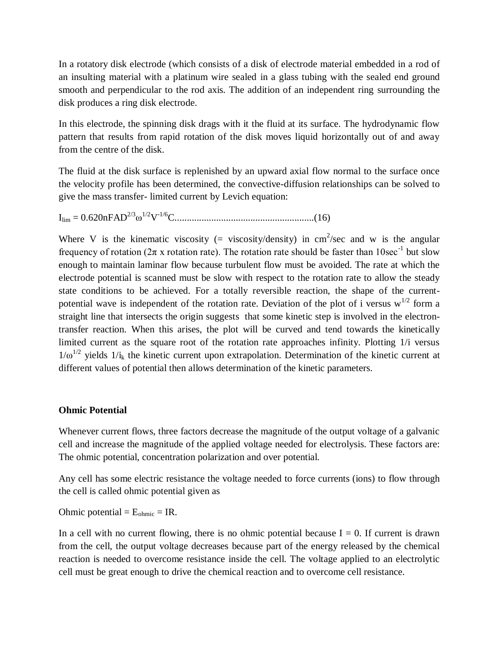In a rotatory disk electrode (which consists of a disk of electrode material embedded in a rod of an insulting material with a platinum wire sealed in a glass tubing with the sealed end ground smooth and perpendicular to the rod axis. The addition of an independent ring surrounding the disk produces a ring disk electrode.

In this electrode, the spinning disk drags with it the fluid at its surface. The hydrodynamic flow pattern that results from rapid rotation of the disk moves liquid horizontally out of and away from the centre of the disk.

The fluid at the disk surface is replenished by an upward axial flow normal to the surface once the velocity profile has been determined, the convective-diffusion relationships can be solved to give the mass transfer- limited current by Levich equation:

Ilim = 0.620nFAD2/3ω 1/2V -1/6C.........................................................(16)

Where V is the kinematic viscosity (= viscosity/density) in  $cm^2/sec$  and w is the angular frequency of rotation ( $2\pi$  x rotation rate). The rotation rate should be faster than  $10\sec^{-1}$  but slow enough to maintain laminar flow because turbulent flow must be avoided. The rate at which the electrode potential is scanned must be slow with respect to the rotation rate to allow the steady state conditions to be achieved. For a totally reversible reaction, the shape of the currentpotential wave is independent of the rotation rate. Deviation of the plot of i versus  $w^{1/2}$  form a straight line that intersects the origin suggests that some kinetic step is involved in the electrontransfer reaction. When this arises, the plot will be curved and tend towards the kinetically limited current as the square root of the rotation rate approaches infinity. Plotting 1/i versus  $1/\omega^{1/2}$  yields  $1/i_k$  the kinetic current upon extrapolation. Determination of the kinetic current at different values of potential then allows determination of the kinetic parameters.

#### **Ohmic Potential**

Whenever current flows, three factors decrease the magnitude of the output voltage of a galvanic cell and increase the magnitude of the applied voltage needed for electrolysis. These factors are: The ohmic potential, concentration polarization and over potential.

Any cell has some electric resistance the voltage needed to force currents (ions) to flow through the cell is called ohmic potential given as

Ohmic potential =  $E_{\text{ohmic}}$  = IR.

In a cell with no current flowing, there is no ohmic potential because  $I = 0$ . If current is drawn from the cell, the output voltage decreases because part of the energy released by the chemical reaction is needed to overcome resistance inside the cell. The voltage applied to an electrolytic cell must be great enough to drive the chemical reaction and to overcome cell resistance.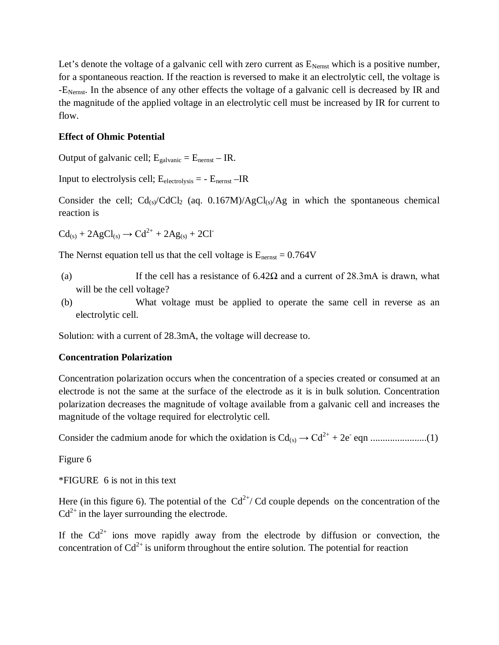Let's denote the voltage of a galvanic cell with zero current as  $E_{Nernst}$  which is a positive number, for a spontaneous reaction. If the reaction is reversed to make it an electrolytic cell, the voltage is -E<sub>Nernst</sub>. In the absence of any other effects the voltage of a galvanic cell is decreased by IR and the magnitude of the applied voltage in an electrolytic cell must be increased by IR for current to flow.

### **Effect of Ohmic Potential**

Output of galvanic cell;  $E_{galvanic} = E_{nernst} - IR$ .

Input to electrolysis cell;  $E_{electrolysis} = -E_{nernst} - IR$ 

Consider the cell;  $Cd_{(s)}CdCl_2$  (aq. 0.167M)/AgCl<sub>(s)</sub>/Ag in which the spontaneous chemical reaction is

 $Cd_{(s)} + 2AgCl_{(s)} \rightarrow Cd^{2+} + 2Ag_{(s)} + 2Cl^{-}$ 

The Nernst equation tell us that the cell voltage is  $E_{\text{nernst}} = 0.764V$ 

- (a) If the cell has a resistance of  $6.42\Omega$  and a current of 28.3mA is drawn, what will be the cell voltage?
- (b) What voltage must be applied to operate the same cell in reverse as an electrolytic cell.

Solution: with a current of 28.3mA, the voltage will decrease to.

#### **Concentration Polarization**

Concentration polarization occurs when the concentration of a species created or consumed at an electrode is not the same at the surface of the electrode as it is in bulk solution. Concentration polarization decreases the magnitude of voltage available from a galvanic cell and increases the magnitude of the voltage required for electrolytic cell.

Consider the cadmium anode for which the oxidation is Cd(s) → Cd2+ + 2e-eqn .......................(1)

Figure 6

\*FIGURE 6 is not in this text

Here (in this figure 6). The potential of the  $Cd^{2+}/Cd$  couple depends on the concentration of the  $Cd^{2+}$  in the layer surrounding the electrode.

If the  $Cd^{2+}$  ions move rapidly away from the electrode by diffusion or convection, the concentration of  $Cd^{2+}$  is uniform throughout the entire solution. The potential for reaction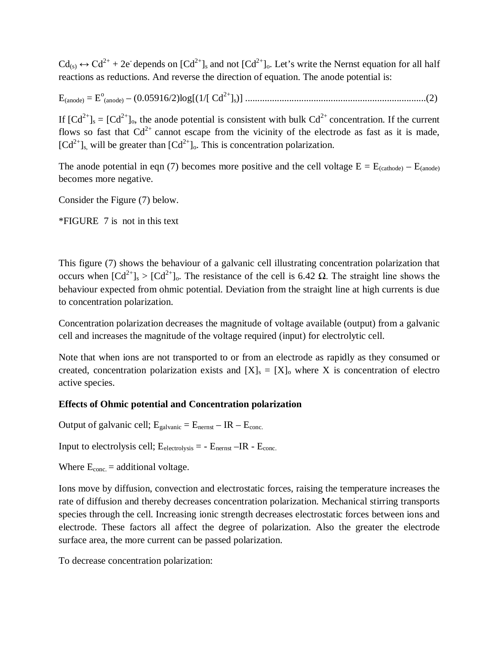$Cd_{(s)} \leftrightarrow Cd^{2+} + 2e$  depends on  $[Cd^{2+}]_s$  and not  $[Cd^{2+}]_o$ . Let's write the Nernst equation for all half reactions as reductions. And reverse the direction of equation. The anode potential is:

E(anode) = E<sup>o</sup> (anode) – (0.05916/2)log[(1/[ Cd2+]s)] ..........................................................................(2)

If  $[Cd^{2+}]_s = [Cd^{2+}]_0$ , the anode potential is consistent with bulk  $Cd^{2+}$  concentration. If the current flows so fast that  $Cd^{2+}$  cannot escape from the vicinity of the electrode as fast as it is made,  $[Cd^{2+}]_s$ , will be greater than  $[Cd^{2+}]_o$ . This is concentration polarization.

The anode potential in eqn (7) becomes more positive and the cell voltage  $E = E_{(cathode)} - E_{(anode)}$ becomes more negative.

Consider the Figure (7) below.

\*FIGURE 7 is not in this text

This figure (7) shows the behaviour of a galvanic cell illustrating concentration polarization that occurs when  $\lceil C d^{2+} \rceil_s > \lceil C d^{2+} \rceil_o$ . The resistance of the cell is 6.42 Ω. The straight line shows the behaviour expected from ohmic potential. Deviation from the straight line at high currents is due to concentration polarization.

Concentration polarization decreases the magnitude of voltage available (output) from a galvanic cell and increases the magnitude of the voltage required (input) for electrolytic cell.

Note that when ions are not transported to or from an electrode as rapidly as they consumed or created, concentration polarization exists and  $[X]_s = [X]_0$  where X is concentration of electro active species.

### **Effects of Ohmic potential and Concentration polarization**

Output of galvanic cell;  $E_{galvanic} = E_{nernst} - IR - E_{conc.}$ 

Input to electrolysis cell;  $E_{\text{electrolysis}} = -E_{\text{nernst}} - IR - E_{\text{conc.}}$ 

Where  $E_{\text{conc}} =$  additional voltage.

Ions move by diffusion, convection and electrostatic forces, raising the temperature increases the rate of diffusion and thereby decreases concentration polarization. Mechanical stirring transports species through the cell. Increasing ionic strength decreases electrostatic forces between ions and electrode. These factors all affect the degree of polarization. Also the greater the electrode surface area, the more current can be passed polarization.

To decrease concentration polarization: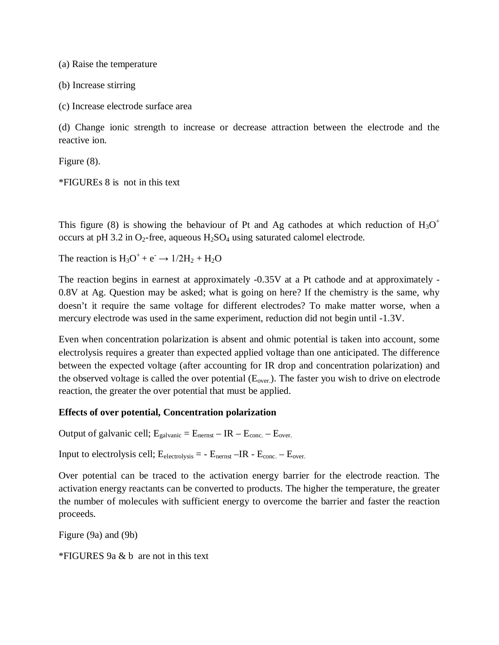(a) Raise the temperature

(b) Increase stirring

(c) Increase electrode surface area

(d) Change ionic strength to increase or decrease attraction between the electrode and the reactive ion.

Figure (8).

\*FIGUREs 8 is not in this text

This figure (8) is showing the behaviour of Pt and Ag cathodes at which reduction of  $H_3O^+$ occurs at pH 3.2 in  $O_2$ -free, aqueous  $H_2SO_4$  using saturated calomel electrode.

The reaction is  $H_3O^+ + e^- \rightarrow 1/2H_2 + H_2O$ 

The reaction begins in earnest at approximately -0.35V at a Pt cathode and at approximately - 0.8V at Ag. Question may be asked; what is going on here? If the chemistry is the same, why doesn't it require the same voltage for different electrodes? To make matter worse, when a mercury electrode was used in the same experiment, reduction did not begin until -1.3V.

Even when concentration polarization is absent and ohmic potential is taken into account, some electrolysis requires a greater than expected applied voltage than one anticipated. The difference between the expected voltage (after accounting for IR drop and concentration polarization) and the observed voltage is called the over potential  $(E_{over})$ . The faster you wish to drive on electrode reaction, the greater the over potential that must be applied.

#### **Effects of over potential, Concentration polarization**

Output of galvanic cell;  $E_{galvanic} = E_{nernst} - IR - E_{conc.} - E_{over.}$ 

Input to electrolysis cell;  $E_{\text{electrolysis}} = -E_{\text{nernst}} - IR - E_{\text{conc.}} - E_{\text{over.}}$ 

Over potential can be traced to the activation energy barrier for the electrode reaction. The activation energy reactants can be converted to products. The higher the temperature, the greater the number of molecules with sufficient energy to overcome the barrier and faster the reaction proceeds.

Figure (9a) and (9b)

\*FIGURES 9a & b are not in this text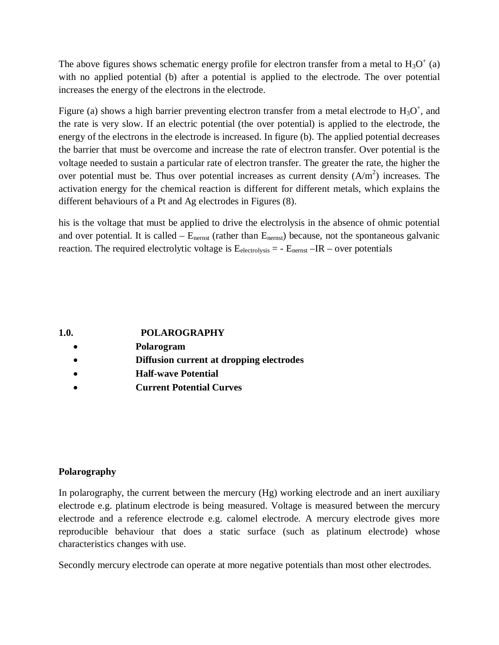The above figures shows schematic energy profile for electron transfer from a metal to  $H_3O^+$  (a) with no applied potential (b) after a potential is applied to the electrode. The over potential increases the energy of the electrons in the electrode.

Figure (a) shows a high barrier preventing electron transfer from a metal electrode to  $H_3O^+$ , and the rate is very slow. If an electric potential (the over potential) is applied to the electrode, the energy of the electrons in the electrode is increased. In figure (b). The applied potential decreases the barrier that must be overcome and increase the rate of electron transfer. Over potential is the voltage needed to sustain a particular rate of electron transfer. The greater the rate, the higher the over potential must be. Thus over potential increases as current density  $(A/m<sup>2</sup>)$  increases. The activation energy for the chemical reaction is different for different metals, which explains the different behaviours of a Pt and Ag electrodes in Figures (8).

his is the voltage that must be applied to drive the electrolysis in the absence of ohmic potential and over potential. It is called  $-$  E<sub>nernst</sub> (rather than  $E_{nernst}$ ) because, not the spontaneous galvanic reaction. The required electrolytic voltage is  $E_{\text{electrolysis}} = -E_{\text{nernst}} - IR -$  over potentials

**1.0. POLAROGRAPHY**

- **Polarogram**
- **Diffusion current at dropping electrodes**
- **Half-wave Potential**
- **Current Potential Curves**

### **Polarography**

In polarography, the current between the mercury (Hg) working electrode and an inert auxiliary electrode e.g. platinum electrode is being measured. Voltage is measured between the mercury electrode and a reference electrode e.g. calomel electrode. A mercury electrode gives more reproducible behaviour that does a static surface (such as platinum electrode) whose characteristics changes with use.

Secondly mercury electrode can operate at more negative potentials than most other electrodes.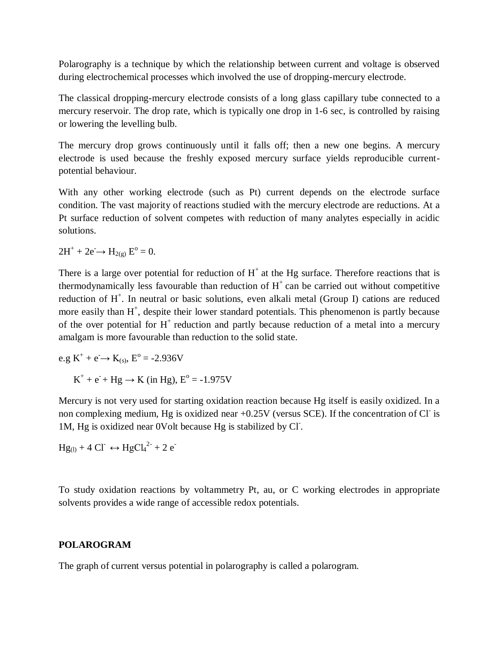Polarography is a technique by which the relationship between current and voltage is observed during electrochemical processes which involved the use of dropping-mercury electrode.

The classical dropping-mercury electrode consists of a long glass capillary tube connected to a mercury reservoir. The drop rate, which is typically one drop in 1-6 sec, is controlled by raising or lowering the levelling bulb.

The mercury drop grows continuously until it falls off; then a new one begins. A mercury electrode is used because the freshly exposed mercury surface yields reproducible currentpotential behaviour.

With any other working electrode (such as Pt) current depends on the electrode surface condition. The vast majority of reactions studied with the mercury electrode are reductions. At a Pt surface reduction of solvent competes with reduction of many analytes especially in acidic solutions.

 $2H^+ + 2e^- \rightarrow H_{2(g)} E^{\circ} = 0.$ 

There is a large over potential for reduction of  $H<sup>+</sup>$  at the Hg surface. Therefore reactions that is thermodynamically less favourable than reduction of  $H^+$  can be carried out without competitive reduction of H<sup>+</sup>. In neutral or basic solutions, even alkali metal (Group I) cations are reduced more easily than  $H^+$ , despite their lower standard potentials. This phenomenon is partly because of the over potential for  $H^+$  reduction and partly because reduction of a metal into a mercury amalgam is more favourable than reduction to the solid state.

 $e.g K^+ + e^- \rightarrow K_{(s)}, E^{\circ} = -2.936V$  $K^+ + e^- + Hg \rightarrow K$  (in Hg),  $E^{\circ} = -1.975V$ 

Mercury is not very used for starting oxidation reaction because Hg itself is easily oxidized. In a non complexing medium, Hg is oxidized near +0.25V (versus SCE). If the concentration of Cl is 1M, Hg is oxidized near 0Volt because Hg is stabilized by Cl- .

 $Hg_{(1)} + 4 CI \rightarrow HgCl_4^{2-} + 2 e^{-}$ 

To study oxidation reactions by voltammetry Pt, au, or C working electrodes in appropriate solvents provides a wide range of accessible redox potentials.

### **POLAROGRAM**

The graph of current versus potential in polarography is called a polarogram.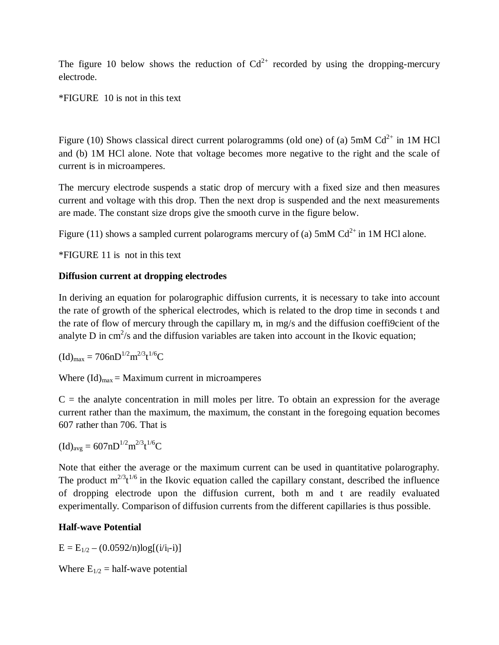The figure 10 below shows the reduction of  $Cd^{2+}$  recorded by using the dropping-mercury electrode.

\*FIGURE 10 is not in this text

Figure (10) Shows classical direct current polarogramms (old one) of (a)  $5 \text{mM } \text{Cd}^{2+}$  in 1M HCl and (b) 1M HCl alone. Note that voltage becomes more negative to the right and the scale of current is in microamperes.

The mercury electrode suspends a static drop of mercury with a fixed size and then measures current and voltage with this drop. Then the next drop is suspended and the next measurements are made. The constant size drops give the smooth curve in the figure below.

Figure (11) shows a sampled current polarograms mercury of (a) 5mM  $Cd^{2+}$  in 1M HCl alone.

\*FIGURE 11 is not in this text

# **Diffusion current at dropping electrodes**

In deriving an equation for polarographic diffusion currents, it is necessary to take into account the rate of growth of the spherical electrodes, which is related to the drop time in seconds t and the rate of flow of mercury through the capillary m, in mg/s and the diffusion coeffi9cient of the analyte D in  $\text{cm}^2/\text{s}$  and the diffusion variables are taken into account in the Ikovic equation;

$$
(Id)_{max} = 706nD^{1/2}m^{2/3}t^{1/6}C\\
$$

Where  $(\text{Id})_{\text{max}} = \text{Maximum current in microamperes}$ 

 $C =$  the analyte concentration in mill moles per litre. To obtain an expression for the average current rather than the maximum, the maximum, the constant in the foregoing equation becomes 607 rather than 706. That is

$$
(Id)_{avg}=607nD^{1/2}m^{2/3}t^{1/6}C\\
$$

Note that either the average or the maximum current can be used in quantitative polarography. The product  $m^{2/3}t^{1/6}$  in the Ikovic equation called the capillary constant, described the influence of dropping electrode upon the diffusion current, both m and t are readily evaluated experimentally. Comparison of diffusion currents from the different capillaries is thus possible.

# **Half-wave Potential**

 $E = E_{1/2} - (0.0592/n) \log[(i/i_i - i)]$ 

Where  $E_{1/2}$  = half-wave potential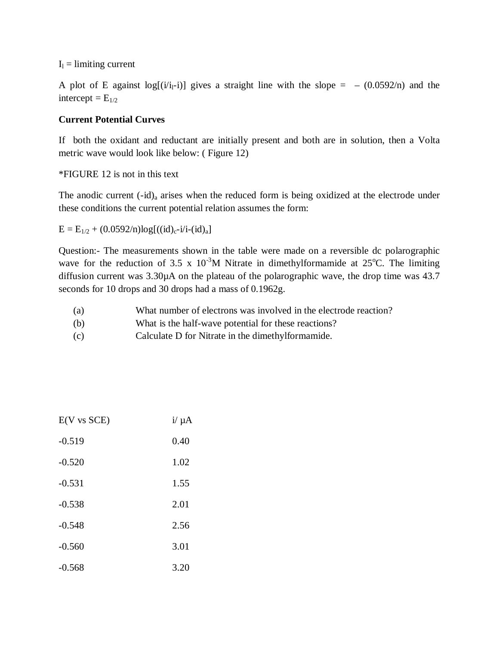$I_1 =$  limiting current

A plot of E against log[ $(i/i_l-i)$ ] gives a straight line with the slope =  $-(0.0592/n)$  and the intercept =  $E_{1/2}$ 

### **Current Potential Curves**

If both the oxidant and reductant are initially present and both are in solution, then a Volta metric wave would look like below: ( Figure 12)

#### \*FIGURE 12 is not in this text

The anodic current  $(-id)_a$  arises when the reduced form is being oxidized at the electrode under these conditions the current potential relation assumes the form:

 $E = E_{1/2} + (0.0592/n) \log[((id)_c - i/i - (id)_a])$ 

Question:- The measurements shown in the table were made on a reversible dc polarographic wave for the reduction of 3.5 x  $10^{-3}$ M Nitrate in dimethylformamide at 25<sup>o</sup>C. The limiting diffusion current was 3.30µA on the plateau of the polarographic wave, the drop time was 43.7 seconds for 10 drops and 30 drops had a mass of 0.1962g.

- (a) What number of electrons was involved in the electrode reaction?
- (b) What is the half-wave potential for these reactions?
- (c) Calculate D for Nitrate in the dimethylformamide.

| $E(V \text{ vs } SCE)$ | $i/\mu A$ |
|------------------------|-----------|
| $-0.519$               | 0.40      |
| $-0.520$               | 1.02      |
| $-0.531$               | 1.55      |
| $-0.538$               | 2.01      |
| $-0.548$               | 2.56      |
| $-0.560$               | 3.01      |
| $-0.568$               | 3.20      |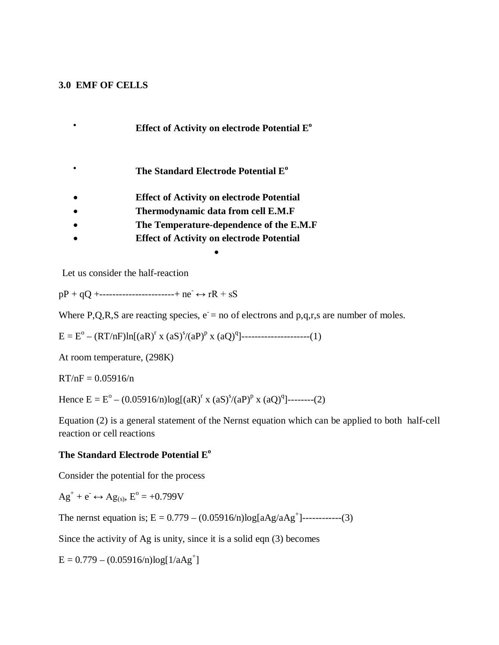#### **3.0 EMF OF CELLS**

- **Effect of Activity on electrode Potential E o**
- **The Standard Electrode Potential E<sup>o</sup>**
- **Effect of Activity on electrode Potential**
- **Thermodynamic data from cell E.M.F**
- **The Temperature-dependence of the E.M.F**
- **Effect of Activity on electrode Potential**

 $\bullet$ 

Let us consider the half-reaction

 $pP + qQ$  +-----------------------+ ne<sup>-</sup>  $\leftrightarrow$  rR + sS

Where P,Q,R,S are reacting species,  $e = no$  of electrons and p,q,r,s are number of moles.

 $E = E^{\circ} - (RT/nF) \ln[(aR)^{r} x (aS)^{s}/(aP)^{p} x (aQ)^{q}]$ ------------------------(1)

At room temperature, (298K)

 $RT/nF = 0.05916/n$ 

Hence  $E = E^{\circ} - (0.05916/n) \log[(aR)^{r} \times (aS)^{s}/(aP)^{p} \times (aQ)^{q}]$ --------(2)

Equation (2) is a general statement of the Nernst equation which can be applied to both half-cell reaction or cell reactions

#### **The Standard Electrode Potential E<sup>o</sup>**

Consider the potential for the process

$$
Ag^+ + e^- \leftrightarrow Ag_{(s)}, E^o = +0.799V
$$

The nernst equation is;  $E = 0.779 - (0.05916/n) \log[aAg/aAg^{+}]$ ------------(3)

Since the activity of Ag is unity, since it is a solid eqn (3) becomes

 $E = 0.779 - (0.05916/n) \log[1/a\text{Ag}^+]$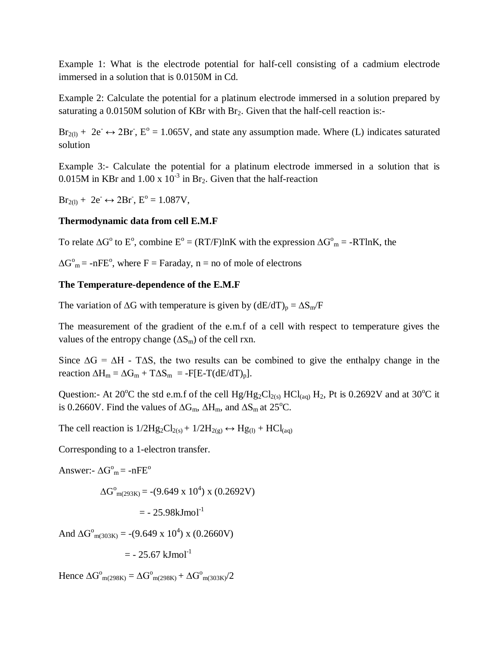Example 1: What is the electrode potential for half-cell consisting of a cadmium electrode immersed in a solution that is 0.0150M in Cd.

Example 2: Calculate the potential for a platinum electrode immersed in a solution prepared by saturating a 0.0150M solution of KBr with Br<sub>2</sub>. Given that the half-cell reaction is:-

 $Br_{2(1)}$  + 2e<sup>-</sup>  $\leftrightarrow$  2Br<sup>-</sup>, E<sup>o</sup> = 1.065V, and state any assumption made. Where (L) indicates saturated solution

Example 3:- Calculate the potential for a platinum electrode immersed in a solution that is 0.015M in KBr and 1.00 x  $10^{-3}$  in Br<sub>2</sub>. Given that the half-reaction

 $Br_{2(1)} + 2e^- \leftrightarrow 2Br$ ,  $E^{\circ} = 1.087V$ ,

### **Thermodynamic data from cell E.M.F**

To relate  $\Delta G^{\circ}$  to E<sup>o</sup>, combine E<sup>o</sup> = (RT/F)lnK with the expression  $\Delta G^{\circ}{}_{m}$  = -RTlnK, the

 $\Delta G^{\circ}{}_{m}$  = -nFE<sup>o</sup>, where F = Faraday, n = no of mole of electrons

## **The Temperature-dependence of the E.M.F**

The variation of  $\Delta G$  with temperature is given by  $(dE/dT)_p = \Delta S_m/F$ 

The measurement of the gradient of the e.m.f of a cell with respect to temperature gives the values of the entropy change  $(\Delta S_m)$  of the cell rxn.

Since  $\Delta G = \Delta H$  - T $\Delta S$ , the two results can be combined to give the enthalpy change in the reaction  $\Delta H_m = \Delta G_m + T \Delta S_m = -F[E-T(dE/dT)_p].$ 

Question:- At 20<sup>o</sup>C the std e.m.f of the cell  $Hg/Hg_2Cl_{2(s)}$  HCl<sub>(aq)</sub> H<sub>2</sub>, Pt is 0.2692V and at 30<sup>o</sup>C it is 0.2660V. Find the values of  $\Delta G_m$ ,  $\Delta H_m$ , and  $\Delta S_m$  at 25<sup>o</sup>C.

The cell reaction is  $1/2Hg_2Cl_{2(s)} + 1/2H_{2(g)} \leftrightarrow Hg_{(1)} + HCl_{(aq)}$ 

Corresponding to a 1-electron transfer.

Answer:-  $\Delta G<sup>o</sup><sub>m</sub> = -nFE<sup>o</sup>$ 

$$
\Delta G^{\circ}_{m(293K)} = -(9.649 \times 10^4) \times (0.2692 V)
$$

 $=$  - 25.98kJmol<sup>-1</sup>

And  $\Delta G^{\circ}_{m(303K)} = -(9.649 \times 10^4) \times (0.2660 V)$ 

 $=$  - 25.67 kJmol<sup>-1</sup>

Hence  $\Delta G^{\circ}_{m(298K)} = \Delta G^{\circ}_{m(298K)} + \Delta G^{\circ}_{m(303K)}/2$